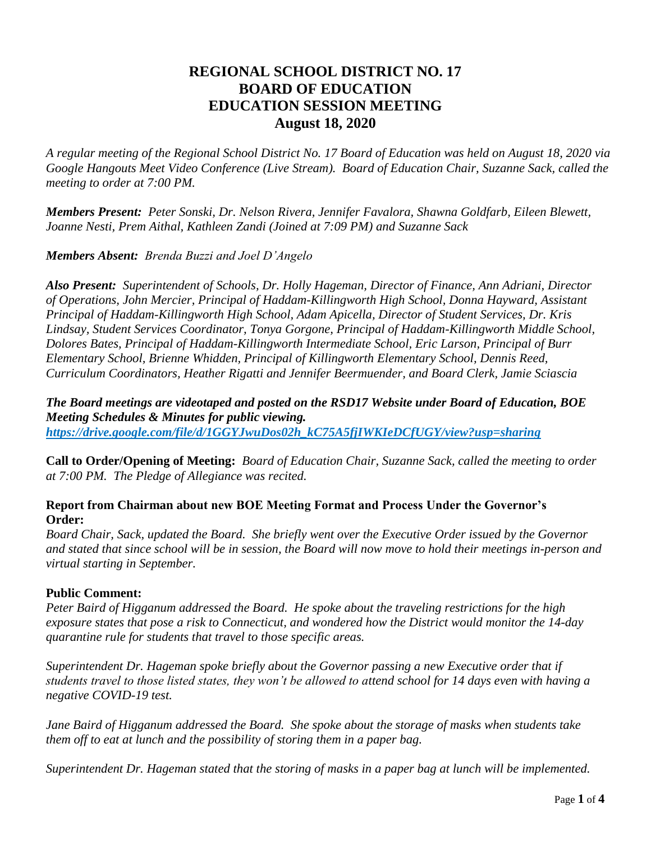# **REGIONAL SCHOOL DISTRICT NO. 17 BOARD OF EDUCATION EDUCATION SESSION MEETING August 18, 2020**

*A regular meeting of the Regional School District No. 17 Board of Education was held on August 18, 2020 via Google Hangouts Meet Video Conference (Live Stream). Board of Education Chair, Suzanne Sack, called the meeting to order at 7:00 PM.*

*Members Present: Peter Sonski, Dr. Nelson Rivera, Jennifer Favalora, Shawna Goldfarb, Eileen Blewett, Joanne Nesti, Prem Aithal, Kathleen Zandi (Joined at 7:09 PM) and Suzanne Sack*

# *Members Absent: Brenda Buzzi and Joel D'Angelo*

*Also Present: Superintendent of Schools, Dr. Holly Hageman, Director of Finance, Ann Adriani, Director of Operations, John Mercier, Principal of Haddam-Killingworth High School, Donna Hayward, Assistant Principal of Haddam-Killingworth High School, Adam Apicella, Director of Student Services, Dr. Kris Lindsay, Student Services Coordinator, Tonya Gorgone, Principal of Haddam-Killingworth Middle School, Dolores Bates, Principal of Haddam-Killingworth Intermediate School, Eric Larson, Principal of Burr Elementary School, Brienne Whidden, Principal of Killingworth Elementary School, Dennis Reed, Curriculum Coordinators, Heather Rigatti and Jennifer Beermuender, and Board Clerk, Jamie Sciascia* 

*The Board meetings are videotaped and posted on the RSD17 Website under Board of Education, BOE Meeting Schedules & Minutes for public viewing. [https://drive.google.com/file/d/1GGYJwuDos02h\\_kC75A5fjIWKIeDCfUGY/view?usp=sharing](https://drive.google.com/file/d/1GGYJwuDos02h_kC75A5fjIWKIeDCfUGY/view?usp=sharing)*

**Call to Order/Opening of Meeting:** *Board of Education Chair, Suzanne Sack, called the meeting to order at 7:00 PM. The Pledge of Allegiance was recited.*

# **Report from Chairman about new BOE Meeting Format and Process Under the Governor's Order:**

*Board Chair, Sack, updated the Board. She briefly went over the Executive Order issued by the Governor and stated that since school will be in session, the Board will now move to hold their meetings in-person and virtual starting in September.*

#### **Public Comment:**

*Peter Baird of Higganum addressed the Board. He spoke about the traveling restrictions for the high exposure states that pose a risk to Connecticut, and wondered how the District would monitor the 14-day quarantine rule for students that travel to those specific areas.*

*Superintendent Dr. Hageman spoke briefly about the Governor passing a new Executive order that if students travel to those listed states, they won't be allowed to attend school for 14 days even with having a negative COVID-19 test.* 

*Jane Baird of Higganum addressed the Board. She spoke about the storage of masks when students take them off to eat at lunch and the possibility of storing them in a paper bag.* 

*Superintendent Dr. Hageman stated that the storing of masks in a paper bag at lunch will be implemented.*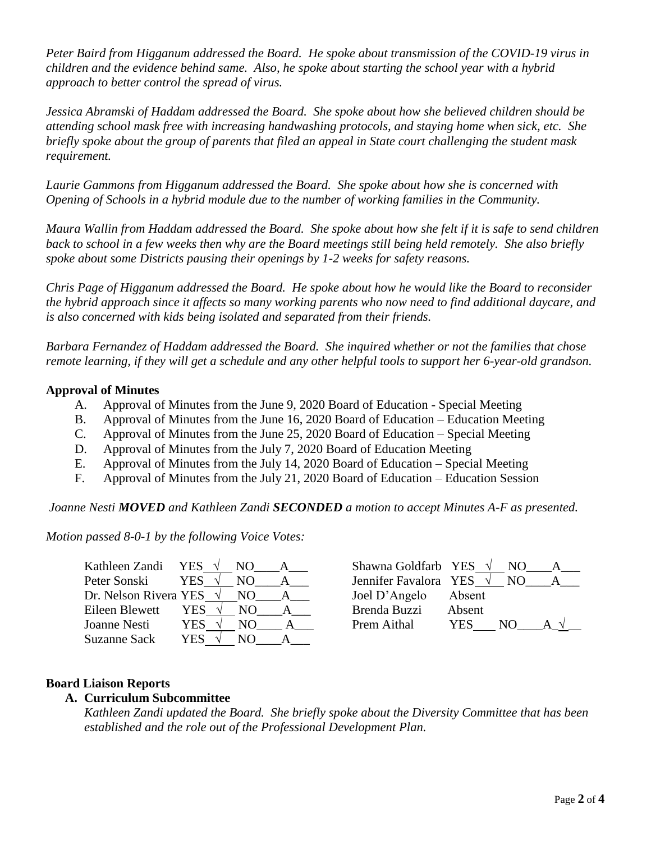*Peter Baird from Higganum addressed the Board. He spoke about transmission of the COVID-19 virus in children and the evidence behind same. Also, he spoke about starting the school year with a hybrid approach to better control the spread of virus.* 

*Jessica Abramski of Haddam addressed the Board. She spoke about how she believed children should be attending school mask free with increasing handwashing protocols, and staying home when sick, etc. She briefly spoke about the group of parents that filed an appeal in State court challenging the student mask requirement.*

*Laurie Gammons from Higganum addressed the Board. She spoke about how she is concerned with Opening of Schools in a hybrid module due to the number of working families in the Community.* 

*Maura Wallin from Haddam addressed the Board. She spoke about how she felt if it is safe to send children back to school in a few weeks then why are the Board meetings still being held remotely. She also briefly spoke about some Districts pausing their openings by 1-2 weeks for safety reasons.*

*Chris Page of Higganum addressed the Board. He spoke about how he would like the Board to reconsider the hybrid approach since it affects so many working parents who now need to find additional daycare, and is also concerned with kids being isolated and separated from their friends.* 

*Barbara Fernandez of Haddam addressed the Board. She inquired whether or not the families that chose remote learning, if they will get a schedule and any other helpful tools to support her 6-year-old grandson.* 

# **Approval of Minutes**

- A. Approval of Minutes from the June 9, 2020 Board of Education Special Meeting
- B. Approval of Minutes from the June 16, 2020 Board of Education Education Meeting
- C. Approval of Minutes from the June 25, 2020 Board of Education Special Meeting
- D. Approval of Minutes from the July 7, 2020 Board of Education Meeting
- E. Approval of Minutes from the July 14, 2020 Board of Education Special Meeting
- F. Approval of Minutes from the July 21, 2020 Board of Education Education Session

*Joanne Nesti MOVED and Kathleen Zandi SECONDED a motion to accept Minutes A-F as presented.*

*Motion passed 8-0-1 by the following Voice Votes:*

| Kathleen Zandi YES $\sqrt{}$ |            | NO. |              | Shawna Goldfarb YES   |        |
|------------------------------|------------|-----|--------------|-----------------------|--------|
| Peter Sonski                 | <b>YES</b> | NO. |              | Jennifer Favalora YES |        |
| Dr. Nelson Rivera YES        |            | NO  | $\mathsf{A}$ | Joel D'Angelo         | Absent |
| Eileen Blewett               | <b>YES</b> | NO. |              | Brenda Buzzi          | Absent |
| Joanne Nesti                 | YES.       | NO. |              | Prem Aithal           | YES    |
| Suzanne Sack                 | YES        | NO  |              |                       |        |

| Kathleen Zandi<br>YES  |            |     | Shawna Goldfarb YES   |        | NO. |  |
|------------------------|------------|-----|-----------------------|--------|-----|--|
| Peter Sonski<br>YES.   |            |     | Jennifer Favalora YES |        | NO. |  |
| Dr. Nelson Rivera YES  | $\sqrt{ }$ | N() | Joel D'Angelo         | Absent |     |  |
| Eileen Blewett<br>YES. |            | NO. | Brenda Buzzi          | Absent |     |  |
| YES.<br>Joanne Nesti   |            |     | Prem Aithal           | YES    | NO) |  |

# **Board Liaison Reports**

# **A. Curriculum Subcommittee**

*Kathleen Zandi updated the Board. She briefly spoke about the Diversity Committee that has been established and the role out of the Professional Development Plan.*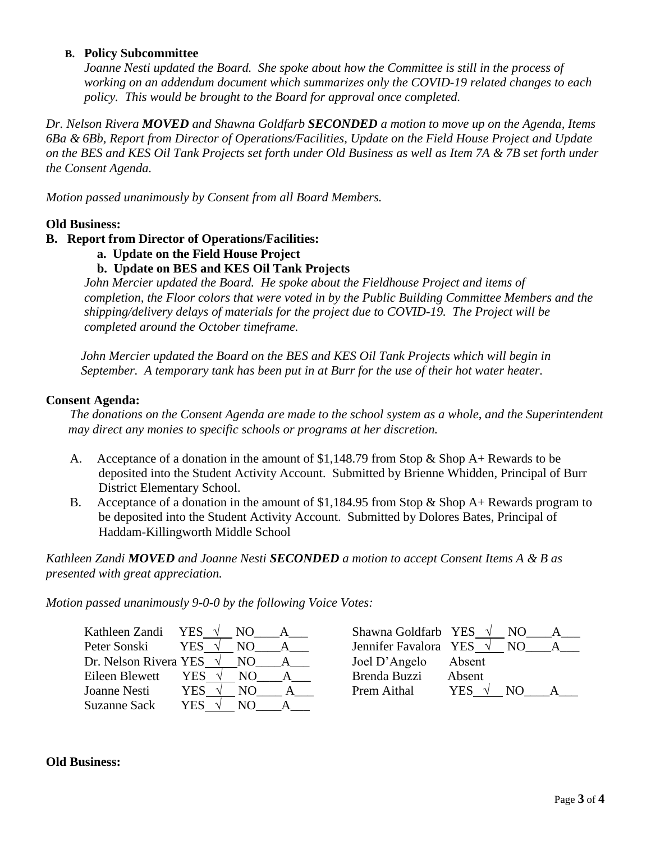#### **B. Policy Subcommittee**

*Joanne Nesti updated the Board. She spoke about how the Committee is still in the process of working on an addendum document which summarizes only the COVID-19 related changes to each policy. This would be brought to the Board for approval once completed.* 

*Dr. Nelson Rivera MOVED and Shawna Goldfarb SECONDED a motion to move up on the Agenda, Items 6Ba & 6Bb, Report from Director of Operations/Facilities, Update on the Field House Project and Update on the BES and KES Oil Tank Projects set forth under Old Business as well as Item 7A & 7B set forth under the Consent Agenda.*

*Motion passed unanimously by Consent from all Board Members.*

# **Old Business:**

# **B. Report from Director of Operations/Facilities:**

- **a. Update on the Field House Project**
- **b. Update on BES and KES Oil Tank Projects**

*John Mercier updated the Board. He spoke about the Fieldhouse Project and items of completion, the Floor colors that were voted in by the Public Building Committee Members and the shipping/delivery delays of materials for the project due to COVID-19. The Project will be completed around the October timeframe.*

 *John Mercier updated the Board on the BES and KES Oil Tank Projects which will begin in September. A temporary tank has been put in at Burr for the use of their hot water heater.*

#### **Consent Agenda:**

*The donations on the Consent Agenda are made to the school system as a whole, and the Superintendent may direct any monies to specific schools or programs at her discretion.* 

- A. Acceptance of a donation in the amount of \$1,148.79 from Stop & Shop A+ Rewards to be deposited into the Student Activity Account. Submitted by Brienne Whidden, Principal of Burr District Elementary School.
- B. Acceptance of a donation in the amount of \$1,184.95 from Stop & Shop A+ Rewards program to be deposited into the Student Activity Account. Submitted by Dolores Bates, Principal of Haddam-Killingworth Middle School

*Kathleen Zandi MOVED and Joanne Nesti SECONDED a motion to accept Consent Items A & B as presented with great appreciation.*

*Motion passed unanimously 9-0-0 by the following Voice Votes:*

| Kathleen Zandi YES $\sqrt{}$    | NO.         | Shawna Goldfarb YES $\sqrt{}$ |                   |  |
|---------------------------------|-------------|-------------------------------|-------------------|--|
| Peter Sonski                    | YES.<br>NO. | Jennifer Favalora YES         | NO.               |  |
| Dr. Nelson Rivera YES $\sqrt{}$ | NO.         | Joel D'Angelo                 | Absent            |  |
| Eileen Blewett                  | YES<br>NO.  | Brenda Buzzi                  | Absent            |  |
| Joanne Nesti                    | YES.<br>NO. | Prem Aithal                   | <b>YES</b><br>NO. |  |
| Suzanne Sack                    | YES<br>NO   |                               |                   |  |

#### **Old Business:**